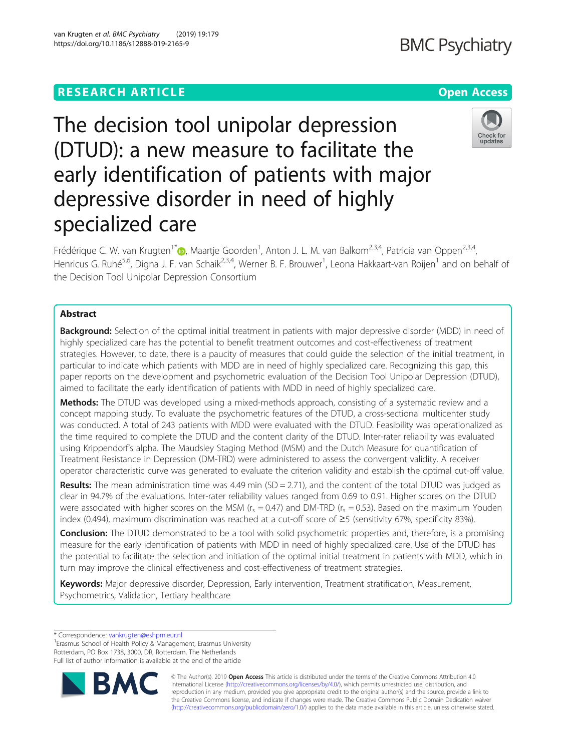## **RESEARCH ARTICLE Example 2018 12:30 THE Open Access**

# The decision tool unipolar depression (DTUD): a new measure to facilitate the early identification of patients with major depressive disorder in need of highly specialized care

Frédérique C. W. van Krugten<sup>1\*</sup>®, Maartje Goorden<sup>1</sup>, Anton J. L. M. van Balkom<sup>2,3,4</sup>, Patricia van Oppen<sup>2,3,4</sup>, Henricus G. Ruhé<sup>5,6</sup>, Digna J. F. van Schaik<sup>2,3,4</sup>, Werner B. F. Brouwer<sup>1</sup>, Leona Hakkaart-van Roijen<sup>1</sup> and on behalf of the Decision Tool Unipolar Depression Consortium

### Abstract

Background: Selection of the optimal initial treatment in patients with major depressive disorder (MDD) in need of highly specialized care has the potential to benefit treatment outcomes and cost-effectiveness of treatment strategies. However, to date, there is a paucity of measures that could guide the selection of the initial treatment, in particular to indicate which patients with MDD are in need of highly specialized care. Recognizing this gap, this paper reports on the development and psychometric evaluation of the Decision Tool Unipolar Depression (DTUD), aimed to facilitate the early identification of patients with MDD in need of highly specialized care.

**Methods:** The DTUD was developed using a mixed-methods approach, consisting of a systematic review and a concept mapping study. To evaluate the psychometric features of the DTUD, a cross-sectional multicenter study was conducted. A total of 243 patients with MDD were evaluated with the DTUD. Feasibility was operationalized as the time required to complete the DTUD and the content clarity of the DTUD. Inter-rater reliability was evaluated using Krippendorf's alpha. The Maudsley Staging Method (MSM) and the Dutch Measure for quantification of Treatment Resistance in Depression (DM-TRD) were administered to assess the convergent validity. A receiver operator characteristic curve was generated to evaluate the criterion validity and establish the optimal cut-off value.

**Results:** The mean administration time was 4.49 min (SD = 2.71), and the content of the total DTUD was judged as clear in 94.7% of the evaluations. Inter-rater reliability values ranged from 0.69 to 0.91. Higher scores on the DTUD were associated with higher scores on the MSM ( $r_s = 0.47$ ) and DM-TRD ( $r_s = 0.53$ ). Based on the maximum Youden index (0.494), maximum discrimination was reached at a cut-off score of ≥5 (sensitivity 67%, specificity 83%).

**Conclusion:** The DTUD demonstrated to be a tool with solid psychometric properties and, therefore, is a promising measure for the early identification of patients with MDD in need of highly specialized care. Use of the DTUD has the potential to facilitate the selection and initiation of the optimal initial treatment in patients with MDD, which in turn may improve the clinical effectiveness and cost-effectiveness of treatment strategies.

Keywords: Major depressive disorder, Depression, Early intervention, Treatment stratification, Measurement, Psychometrics, Validation, Tertiary healthcare

\* Correspondence: [vankrugten@eshpm.eur.nl](mailto:vankrugten@eshpm.eur.nl) <sup>1</sup>

<sup>1</sup> Erasmus School of Health Policy & Management, Erasmus University Rotterdam, PO Box 1738, 3000, DR, Rotterdam, The Netherlands Full list of author information is available at the end of the article



© The Author(s). 2019 **Open Access** This article is distributed under the terms of the Creative Commons Attribution 4.0 International License [\(http://creativecommons.org/licenses/by/4.0/](http://creativecommons.org/licenses/by/4.0/)), which permits unrestricted use, distribution, and reproduction in any medium, provided you give appropriate credit to the original author(s) and the source, provide a link to the Creative Commons license, and indicate if changes were made. The Creative Commons Public Domain Dedication waiver [\(http://creativecommons.org/publicdomain/zero/1.0/](http://creativecommons.org/publicdomain/zero/1.0/)) applies to the data made available in this article, unless otherwise stated.



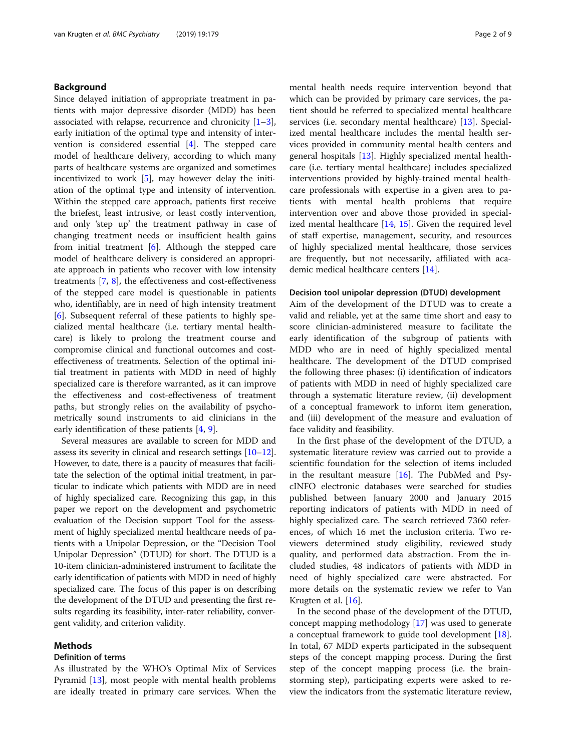#### Background

Since delayed initiation of appropriate treatment in patients with major depressive disorder (MDD) has been associated with relapse, recurrence and chronicity  $[1-3]$  $[1-3]$  $[1-3]$  $[1-3]$ , early initiation of the optimal type and intensity of intervention is considered essential [[4](#page-7-0)]. The stepped care model of healthcare delivery, according to which many parts of healthcare systems are organized and sometimes incentivized to work [[5\]](#page-7-0), may however delay the initiation of the optimal type and intensity of intervention. Within the stepped care approach, patients first receive the briefest, least intrusive, or least costly intervention, and only 'step up' the treatment pathway in case of changing treatment needs or insufficient health gains from initial treatment  $[6]$  $[6]$ . Although the stepped care model of healthcare delivery is considered an appropriate approach in patients who recover with low intensity treatments [\[7,](#page-7-0) [8](#page-7-0)], the effectiveness and cost-effectiveness of the stepped care model is questionable in patients who, identifiably, are in need of high intensity treatment [[6\]](#page-7-0). Subsequent referral of these patients to highly specialized mental healthcare (i.e. tertiary mental healthcare) is likely to prolong the treatment course and compromise clinical and functional outcomes and costeffectiveness of treatments. Selection of the optimal initial treatment in patients with MDD in need of highly specialized care is therefore warranted, as it can improve the effectiveness and cost-effectiveness of treatment paths, but strongly relies on the availability of psychometrically sound instruments to aid clinicians in the early identification of these patients [\[4,](#page-7-0) [9\]](#page-7-0).

Several measures are available to screen for MDD and assess its severity in clinical and research settings [\[10](#page-7-0)–[12](#page-7-0)]. However, to date, there is a paucity of measures that facilitate the selection of the optimal initial treatment, in particular to indicate which patients with MDD are in need of highly specialized care. Recognizing this gap, in this paper we report on the development and psychometric evaluation of the Decision support Tool for the assessment of highly specialized mental healthcare needs of patients with a Unipolar Depression, or the "Decision Tool Unipolar Depression" (DTUD) for short. The DTUD is a 10-item clinician-administered instrument to facilitate the early identification of patients with MDD in need of highly specialized care. The focus of this paper is on describing the development of the DTUD and presenting the first results regarding its feasibility, inter-rater reliability, convergent validity, and criterion validity.

#### Methods

#### Definition of terms

As illustrated by the WHO's Optimal Mix of Services Pyramid [\[13](#page-7-0)], most people with mental health problems are ideally treated in primary care services. When the mental health needs require intervention beyond that which can be provided by primary care services, the patient should be referred to specialized mental healthcare services (i.e. secondary mental healthcare) [\[13](#page-7-0)]. Specialized mental healthcare includes the mental health services provided in community mental health centers and general hospitals [[13\]](#page-7-0). Highly specialized mental healthcare (i.e. tertiary mental healthcare) includes specialized interventions provided by highly-trained mental healthcare professionals with expertise in a given area to patients with mental health problems that require intervention over and above those provided in specialized mental healthcare  $[14, 15]$  $[14, 15]$  $[14, 15]$  $[14, 15]$ . Given the required level of staff expertise, management, security, and resources of highly specialized mental healthcare, those services are frequently, but not necessarily, affiliated with academic medical healthcare centers [\[14](#page-7-0)].

#### Decision tool unipolar depression (DTUD) development

Aim of the development of the DTUD was to create a valid and reliable, yet at the same time short and easy to score clinician-administered measure to facilitate the early identification of the subgroup of patients with MDD who are in need of highly specialized mental healthcare. The development of the DTUD comprised the following three phases: (i) identification of indicators of patients with MDD in need of highly specialized care through a systematic literature review, (ii) development of a conceptual framework to inform item generation, and (iii) development of the measure and evaluation of face validity and feasibility.

In the first phase of the development of the DTUD, a systematic literature review was carried out to provide a scientific foundation for the selection of items included in the resultant measure  $[16]$  $[16]$  $[16]$ . The PubMed and PsycINFO electronic databases were searched for studies published between January 2000 and January 2015 reporting indicators of patients with MDD in need of highly specialized care. The search retrieved 7360 references, of which 16 met the inclusion criteria. Two reviewers determined study eligibility, reviewed study quality, and performed data abstraction. From the included studies, 48 indicators of patients with MDD in need of highly specialized care were abstracted. For more details on the systematic review we refer to Van Krugten et al. [[16](#page-7-0)].

In the second phase of the development of the DTUD, concept mapping methodology [\[17](#page-7-0)] was used to generate a conceptual framework to guide tool development [\[18](#page-7-0)]. In total, 67 MDD experts participated in the subsequent steps of the concept mapping process. During the first step of the concept mapping process (i.e. the brainstorming step), participating experts were asked to review the indicators from the systematic literature review,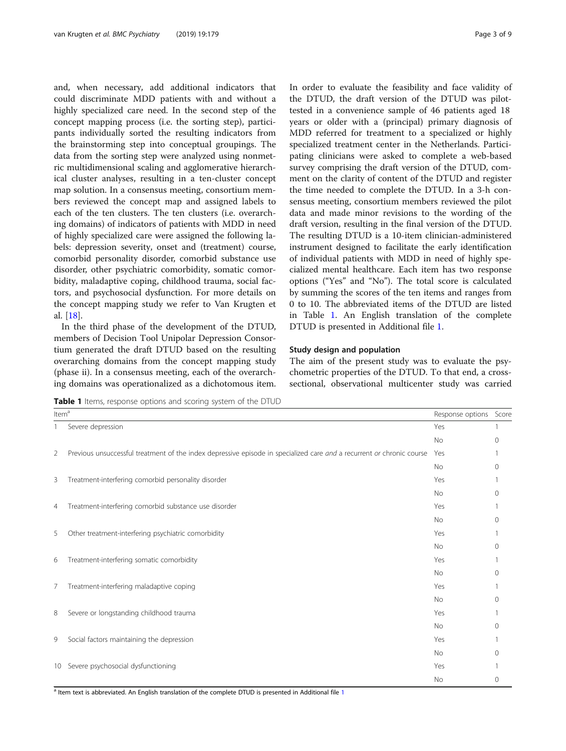and, when necessary, add additional indicators that could discriminate MDD patients with and without a highly specialized care need. In the second step of the concept mapping process (i.e. the sorting step), participants individually sorted the resulting indicators from the brainstorming step into conceptual groupings. The data from the sorting step were analyzed using nonmetric multidimensional scaling and agglomerative hierarchical cluster analyses, resulting in a ten-cluster concept map solution. In a consensus meeting, consortium members reviewed the concept map and assigned labels to each of the ten clusters. The ten clusters (i.e. overarching domains) of indicators of patients with MDD in need of highly specialized care were assigned the following labels: depression severity, onset and (treatment) course, comorbid personality disorder, comorbid substance use disorder, other psychiatric comorbidity, somatic comorbidity, maladaptive coping, childhood trauma, social factors, and psychosocial dysfunction. For more details on the concept mapping study we refer to Van Krugten et al. [[18\]](#page-7-0).

In the third phase of the development of the DTUD, members of Decision Tool Unipolar Depression Consortium generated the draft DTUD based on the resulting overarching domains from the concept mapping study (phase ii). In a consensus meeting, each of the overarching domains was operationalized as a dichotomous item. In order to evaluate the feasibility and face validity of the DTUD, the draft version of the DTUD was pilottested in a convenience sample of 46 patients aged 18 years or older with a (principal) primary diagnosis of MDD referred for treatment to a specialized or highly specialized treatment center in the Netherlands. Participating clinicians were asked to complete a web-based survey comprising the draft version of the DTUD, comment on the clarity of content of the DTUD and register the time needed to complete the DTUD. In a 3-h consensus meeting, consortium members reviewed the pilot data and made minor revisions to the wording of the draft version, resulting in the final version of the DTUD. The resulting DTUD is a 10-item clinician-administered instrument designed to facilitate the early identification of individual patients with MDD in need of highly specialized mental healthcare. Each item has two response options ("Yes" and "No"). The total score is calculated by summing the scores of the ten items and ranges from 0 to 10. The abbreviated items of the DTUD are listed in Table 1. An English translation of the complete DTUD is presented in Additional file [1.](#page-7-0)

#### Study design and population

The aim of the present study was to evaluate the psychometric properties of the DTUD. To that end, a crosssectional, observational multicenter study was carried

Table 1 Items, response options and scoring system of the DTUD

|    | Item <sup>a</sup><br>Response options Score                                                                           |           |          |
|----|-----------------------------------------------------------------------------------------------------------------------|-----------|----------|
|    | Severe depression                                                                                                     | Yes       |          |
|    |                                                                                                                       | No        | $\Omega$ |
| 2  | Previous unsuccessful treatment of the index depressive episode in specialized care and a recurrent or chronic course | Yes       |          |
|    |                                                                                                                       | <b>No</b> | $\Omega$ |
| 3  | Treatment-interfering comorbid personality disorder                                                                   | Yes       |          |
|    |                                                                                                                       | <b>No</b> | $\Omega$ |
| 4  | Treatment-interfering comorbid substance use disorder                                                                 | Yes       |          |
|    |                                                                                                                       | <b>No</b> | $\Omega$ |
| 5  | Other treatment-interfering psychiatric comorbidity                                                                   | Yes       |          |
|    |                                                                                                                       | <b>No</b> | $\Omega$ |
| 6  | Treatment-interfering somatic comorbidity                                                                             | Yes       |          |
|    |                                                                                                                       | <b>No</b> | $\Omega$ |
|    | Treatment-interfering maladaptive coping                                                                              | Yes       |          |
|    |                                                                                                                       | <b>No</b> | $\Omega$ |
| 8  | Severe or longstanding childhood trauma                                                                               | Yes       |          |
|    |                                                                                                                       | <b>No</b> | $\Omega$ |
| 9  | Social factors maintaining the depression                                                                             | Yes       |          |
|    |                                                                                                                       | <b>No</b> | $\Omega$ |
| 10 | Severe psychosocial dysfunctioning                                                                                    | Yes       |          |
|    |                                                                                                                       | <b>No</b> | 0        |

<sup>a</sup> Item text is abbreviated. An English translation of the complete DTUD is presented in Additional file [1](#page-7-0)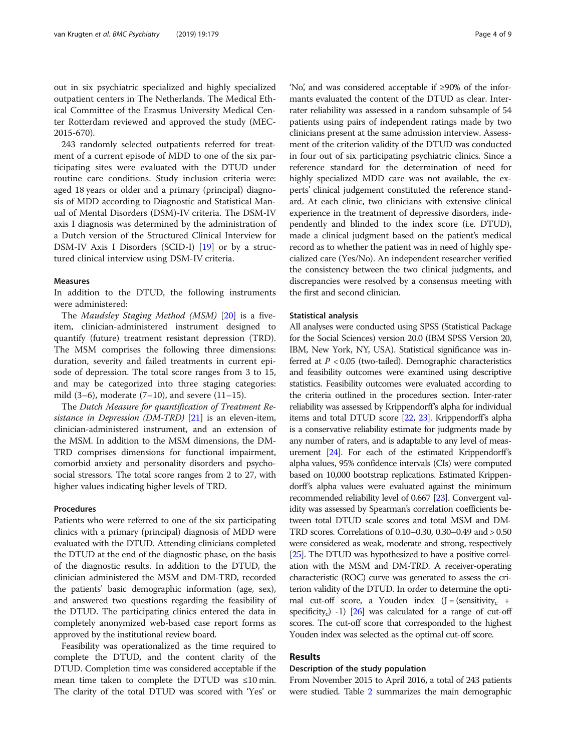out in six psychiatric specialized and highly specialized outpatient centers in The Netherlands. The Medical Ethical Committee of the Erasmus University Medical Center Rotterdam reviewed and approved the study (MEC-2015-670).

243 randomly selected outpatients referred for treatment of a current episode of MDD to one of the six participating sites were evaluated with the DTUD under routine care conditions. Study inclusion criteria were: aged 18 years or older and a primary (principal) diagnosis of MDD according to Diagnostic and Statistical Manual of Mental Disorders (DSM)-IV criteria. The DSM-IV axis I diagnosis was determined by the administration of a Dutch version of the Structured Clinical Interview for DSM-IV Axis I Disorders (SCID-I) [[19\]](#page-7-0) or by a structured clinical interview using DSM-IV criteria.

#### Measures

In addition to the DTUD, the following instruments were administered:

The Maudsley Staging Method (MSM) [[20\]](#page-7-0) is a fiveitem, clinician-administered instrument designed to quantify (future) treatment resistant depression (TRD). The MSM comprises the following three dimensions: duration, severity and failed treatments in current episode of depression. The total score ranges from 3 to 15, and may be categorized into three staging categories: mild  $(3-6)$ , moderate  $(7-10)$ , and severe  $(11-15)$ .

The Dutch Measure for quantification of Treatment Re-sistance in Depression (DM-TRD) [\[21\]](#page-7-0) is an eleven-item, clinician-administered instrument, and an extension of the MSM. In addition to the MSM dimensions, the DM-TRD comprises dimensions for functional impairment, comorbid anxiety and personality disorders and psychosocial stressors. The total score ranges from 2 to 27, with higher values indicating higher levels of TRD.

#### Procedures

Patients who were referred to one of the six participating clinics with a primary (principal) diagnosis of MDD were evaluated with the DTUD. Attending clinicians completed the DTUD at the end of the diagnostic phase, on the basis of the diagnostic results. In addition to the DTUD, the clinician administered the MSM and DM-TRD, recorded the patients' basic demographic information (age, sex), and answered two questions regarding the feasibility of the DTUD. The participating clinics entered the data in completely anonymized web-based case report forms as approved by the institutional review board.

Feasibility was operationalized as the time required to complete the DTUD, and the content clarity of the DTUD. Completion time was considered acceptable if the mean time taken to complete the DTUD was ≤10 min. The clarity of the total DTUD was scored with 'Yes' or

'No', and was considered acceptable if ≥90% of the informants evaluated the content of the DTUD as clear. Interrater reliability was assessed in a random subsample of 54 patients using pairs of independent ratings made by two clinicians present at the same admission interview. Assessment of the criterion validity of the DTUD was conducted in four out of six participating psychiatric clinics. Since a reference standard for the determination of need for highly specialized MDD care was not available, the experts' clinical judgement constituted the reference standard. At each clinic, two clinicians with extensive clinical experience in the treatment of depressive disorders, independently and blinded to the index score (i.e. DTUD), made a clinical judgment based on the patient's medical record as to whether the patient was in need of highly specialized care (Yes/No). An independent researcher verified the consistency between the two clinical judgments, and discrepancies were resolved by a consensus meeting with the first and second clinician.

#### Statistical analysis

All analyses were conducted using SPSS (Statistical Package for the Social Sciences) version 20.0 (IBM SPSS Version 20, IBM, New York, NY, USA). Statistical significance was inferred at  $P < 0.05$  (two-tailed). Demographic characteristics and feasibility outcomes were examined using descriptive statistics. Feasibility outcomes were evaluated according to the criteria outlined in the procedures section. Inter-rater reliability was assessed by Krippendorff's alpha for individual items and total DTUD score [[22](#page-7-0), [23\]](#page-7-0). Krippendorff's alpha is a conservative reliability estimate for judgments made by any number of raters, and is adaptable to any level of measurement [\[24\]](#page-7-0). For each of the estimated Krippendorff's alpha values, 95% confidence intervals (CIs) were computed based on 10,000 bootstrap replications. Estimated Krippendorff's alpha values were evaluated against the minimum recommended reliability level of 0.667 [\[23](#page-7-0)]. Convergent validity was assessed by Spearman's correlation coefficients between total DTUD scale scores and total MSM and DM-TRD scores. Correlations of 0.10–0.30, 0.30–0.49 and > 0.50 were considered as weak, moderate and strong, respectively [[25](#page-7-0)]. The DTUD was hypothesized to have a positive correlation with the MSM and DM-TRD. A receiver-operating characteristic (ROC) curve was generated to assess the criterion validity of the DTUD. In order to determine the optimal cut-off score, a Youden index  $(J = (sensitivity<sub>c</sub> +$ specificity<sub>c</sub>) -1) [[26\]](#page-7-0) was calculated for a range of cut-off scores. The cut-off score that corresponded to the highest Youden index was selected as the optimal cut-off score.

#### Results

#### Description of the study population

From November 2015 to April 2016, a total of 243 patients were studied. Table [2](#page-4-0) summarizes the main demographic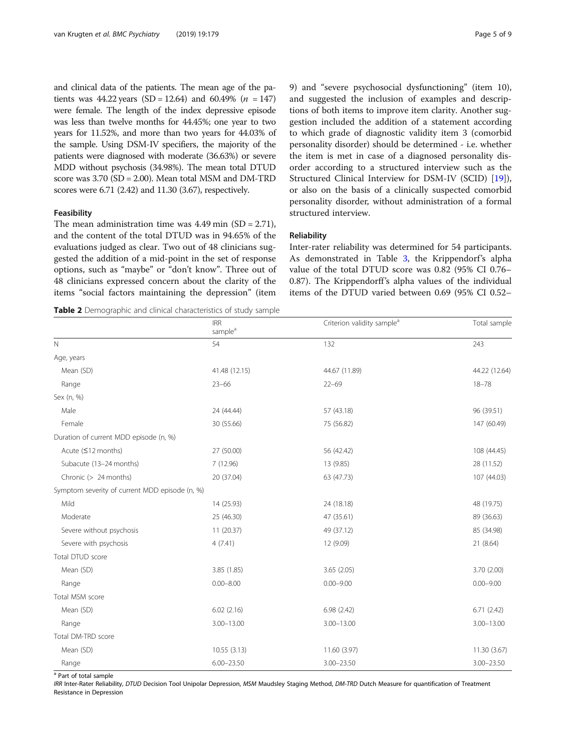<span id="page-4-0"></span>and clinical data of the patients. The mean age of the patients was  $44.22$  years (SD = 12.64) and 60.49% ( $n = 147$ ) were female. The length of the index depressive episode was less than twelve months for 44.45%; one year to two years for 11.52%, and more than two years for 44.03% of the sample. Using DSM-IV specifiers, the majority of the patients were diagnosed with moderate (36.63%) or severe MDD without psychosis (34.98%). The mean total DTUD score was 3.70 (SD = 2.00). Mean total MSM and DM-TRD scores were 6.71 (2.42) and 11.30 (3.67), respectively.

#### Feasibility

The mean administration time was  $4.49$  min  $(SD = 2.71)$ , and the content of the total DTUD was in 94.65% of the evaluations judged as clear. Two out of 48 clinicians suggested the addition of a mid-point in the set of response options, such as "maybe" or "don't know". Three out of 48 clinicians expressed concern about the clarity of the items "social factors maintaining the depression" (item 9) and "severe psychosocial dysfunctioning" (item 10), and suggested the inclusion of examples and descriptions of both items to improve item clarity. Another suggestion included the addition of a statement according to which grade of diagnostic validity item 3 (comorbid personality disorder) should be determined - i.e. whether the item is met in case of a diagnosed personality disorder according to a structured interview such as the Structured Clinical Interview for DSM-IV (SCID) [\[19](#page-7-0)]), or also on the basis of a clinically suspected comorbid personality disorder, without administration of a formal structured interview.

#### Reliability

Inter-rater reliability was determined for 54 participants. As demonstrated in Table [3,](#page-5-0) the Krippendorf's alpha value of the total DTUD score was 0.82 (95% CI 0.76– 0.87). The Krippendorff's alpha values of the individual items of the DTUD varied between 0.69 (95% CI 0.52–

Table 2 Demographic and clinical characteristics of study sample

|                                                | <b>IRR</b><br>sample <sup>a</sup> | Criterion validity sample <sup>a</sup> | Total sample   |
|------------------------------------------------|-----------------------------------|----------------------------------------|----------------|
| $\mathbb N$                                    | 54                                | 132                                    | 243            |
| Age, years                                     |                                   |                                        |                |
| Mean (SD)                                      | 41.48 (12.15)                     | 44.67 (11.89)                          | 44.22 (12.64)  |
| Range                                          | $23 - 66$                         | $22 - 69$                              | $18 - 78$      |
| Sex (n, %)                                     |                                   |                                        |                |
| Male                                           | 24 (44.44)                        | 57 (43.18)                             | 96 (39.51)     |
| Female                                         | 30 (55.66)                        | 75 (56.82)                             | 147 (60.49)    |
| Duration of current MDD episode (n, %)         |                                   |                                        |                |
| Acute (≤12 months)                             | 27 (50.00)                        | 56 (42.42)                             | 108 (44.45)    |
| Subacute (13-24 months)                        | 7 (12.96)                         | 13 (9.85)                              | 28 (11.52)     |
| Chronic (> 24 months)                          | 20 (37.04)                        | 63 (47.73)                             | 107 (44.03)    |
| Symptom severity of current MDD episode (n, %) |                                   |                                        |                |
| Mild                                           | 14 (25.93)                        | 24 (18.18)                             | 48 (19.75)     |
| Moderate                                       | 25 (46.30)                        | 47 (35.61)                             | 89 (36.63)     |
| Severe without psychosis                       | 11 (20.37)                        | 49 (37.12)                             | 85 (34.98)     |
| Severe with psychosis                          | 4(7.41)                           | 12 (9.09)                              | 21 (8.64)      |
| Total DTUD score                               |                                   |                                        |                |
| Mean (SD)                                      | 3.85 (1.85)                       | 3.65(2.05)                             | 3.70 (2.00)    |
| Range                                          | $0.00 - 8.00$                     | $0.00 - 9.00$                          | $0.00 - 9.00$  |
| Total MSM score                                |                                   |                                        |                |
| Mean (SD)                                      | 6.02(2.16)                        | 6.98(2.42)                             | 6.71(2.42)     |
| Range                                          | $3.00 - 13.00$                    | $3.00 - 13.00$                         | $3.00 - 13.00$ |
| Total DM-TRD score                             |                                   |                                        |                |
| Mean (SD)                                      | 10.55(3.13)                       | 11.60 (3.97)                           | 11.30 (3.67)   |
| Range                                          | $6.00 - 23.50$                    | $3.00 - 23.50$                         | $3.00 - 23.50$ |

<sup>a</sup> Part of total sample

IRR Inter-Rater Reliability, DTUD Decision Tool Unipolar Depression, MSM Maudsley Staging Method, DM-TRD Dutch Measure for quantification of Treatment Resistance in Depression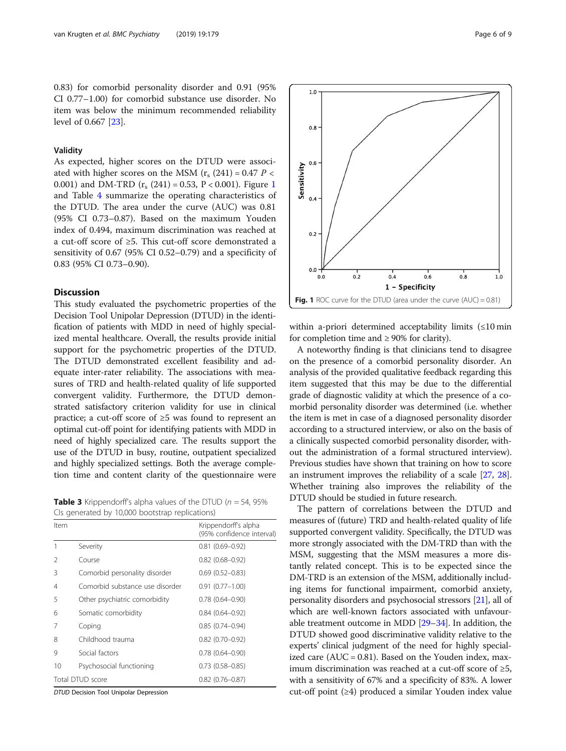<span id="page-5-0"></span>0.83) for comorbid personality disorder and 0.91 (95% CI 0.77–1.00) for comorbid substance use disorder. No item was below the minimum recommended reliability level of 0.667 [[23\]](#page-7-0).

#### Validity

As expected, higher scores on the DTUD were associated with higher scores on the MSM  $(r_s (241) = 0.47 P <$ 0.001) and DM-TRD  $(r_s (241) = 0.53, P < 0.001)$ . Figure 1 and Table [4](#page-6-0) summarize the operating characteristics of the DTUD. The area under the curve (AUC) was 0.81 (95% CI 0.73–0.87). Based on the maximum Youden index of 0.494, maximum discrimination was reached at a cut-off score of ≥5. This cut-off score demonstrated a sensitivity of 0.67 (95% CI 0.52–0.79) and a specificity of 0.83 (95% CI 0.73–0.90).

#### **Discussion**

This study evaluated the psychometric properties of the Decision Tool Unipolar Depression (DTUD) in the identification of patients with MDD in need of highly specialized mental healthcare. Overall, the results provide initial support for the psychometric properties of the DTUD. The DTUD demonstrated excellent feasibility and adequate inter-rater reliability. The associations with measures of TRD and health-related quality of life supported convergent validity. Furthermore, the DTUD demonstrated satisfactory criterion validity for use in clinical practice; a cut-off score of  $\geq 5$  was found to represent an optimal cut-off point for identifying patients with MDD in need of highly specialized care. The results support the use of the DTUD in busy, routine, outpatient specialized and highly specialized settings. Both the average completion time and content clarity of the questionnaire were

**Table 3** Krippendorff's alpha values of the DTUD ( $n = 54$ , 95%) CIs generated by 10,000 bootstrap replications)

| Item             |                                 | Krippendorff's alpha<br>(95% confidence interval) |
|------------------|---------------------------------|---------------------------------------------------|
|                  | Severity                        | $0.81(0.69 - 0.92)$                               |
| $\mathcal{P}$    | Course                          | $0.82$ $(0.68 - 0.92)$                            |
| 3                | Comorbid personality disorder   | $0.69(0.52 - 0.83)$                               |
| 4                | Comorbid substance use disorder | $0.91(0.77 - 1.00)$                               |
| 5                | Other psychiatric comorbidity   | $0.78(0.64 - 0.90)$                               |
| 6                | Somatic comorbidity             | $0.84(0.64 - 0.92)$                               |
|                  | Coping                          | $0.85(0.74 - 0.94)$                               |
| 8                | Childhood trauma                | $0.82$ (0.70-0.92)                                |
| 9                | Social factors                  | $0.78(0.64 - 0.90)$                               |
| 10               | Psychosocial functioning        | $0.73$ $(0.58 - 0.85)$                            |
| Total DTUD score |                                 | $0.82$ (0.76-0.87)                                |

DTUD Decision Tool Unipolar Depression



within a-priori determined acceptability limits (≤10 min for completion time and  $\geq 90\%$  for clarity).

A noteworthy finding is that clinicians tend to disagree on the presence of a comorbid personality disorder. An analysis of the provided qualitative feedback regarding this item suggested that this may be due to the differential grade of diagnostic validity at which the presence of a comorbid personality disorder was determined (i.e. whether the item is met in case of a diagnosed personality disorder according to a structured interview, or also on the basis of a clinically suspected comorbid personality disorder, without the administration of a formal structured interview). Previous studies have shown that training on how to score an instrument improves the reliability of a scale [\[27](#page-7-0), [28](#page-7-0)]. Whether training also improves the reliability of the DTUD should be studied in future research.

The pattern of correlations between the DTUD and measures of (future) TRD and health-related quality of life supported convergent validity. Specifically, the DTUD was more strongly associated with the DM-TRD than with the MSM, suggesting that the MSM measures a more distantly related concept. This is to be expected since the DM-TRD is an extension of the MSM, additionally including items for functional impairment, comorbid anxiety, personality disorders and psychosocial stressors [\[21\]](#page-7-0), all of which are well-known factors associated with unfavourable treatment outcome in MDD [[29](#page-8-0)–[34\]](#page-8-0). In addition, the DTUD showed good discriminative validity relative to the experts' clinical judgment of the need for highly specialized care ( $AUC = 0.81$ ). Based on the Youden index, maximum discrimination was reached at a cut-off score of  $\geq 5$ , with a sensitivity of 67% and a specificity of 83%. A lower cut-off point (≥4) produced a similar Youden index value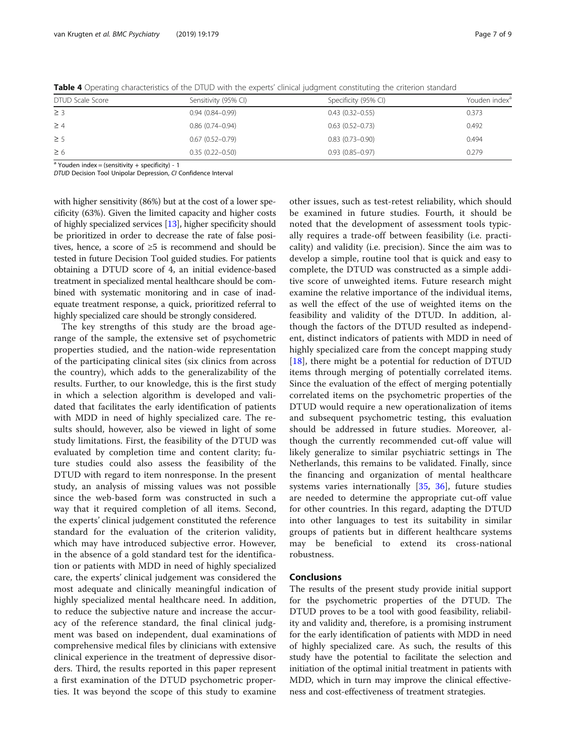| DTUD Scale Score | Sensitivity (95% CI) | Specificity (95% CI) | Youden index <sup>a</sup> |
|------------------|----------------------|----------------------|---------------------------|
| $\geq$ 3         | $0.94(0.84 - 0.99)$  | $0.43(0.32 - 0.55)$  | 0.373                     |
| $\geq 4$         | $0.86(0.74 - 0.94)$  | $0.63(0.52 - 0.73)$  | 0.492                     |
| $\geq$ 5         | $0.67(0.52 - 0.79)$  | $0.83(0.73 - 0.90)$  | 0.494                     |
| $\geq 6$         | $0.35(0.22 - 0.50)$  | $0.93(0.85 - 0.97)$  | 0.279                     |

<span id="page-6-0"></span>Table 4 Operating characteristics of the DTUD with the experts' clinical judgment constituting the criterion standard

 $a$  Youden index = (sensitivity + specificity) - 1

DTUD Decision Tool Unipolar Depression, CI Confidence Interval

with higher sensitivity (86%) but at the cost of a lower specificity (63%). Given the limited capacity and higher costs of highly specialized services [\[13](#page-7-0)], higher specificity should be prioritized in order to decrease the rate of false positives, hence, a score of ≥5 is recommend and should be tested in future Decision Tool guided studies. For patients obtaining a DTUD score of 4, an initial evidence-based treatment in specialized mental healthcare should be combined with systematic monitoring and in case of inadequate treatment response, a quick, prioritized referral to highly specialized care should be strongly considered.

The key strengths of this study are the broad agerange of the sample, the extensive set of psychometric properties studied, and the nation-wide representation of the participating clinical sites (six clinics from across the country), which adds to the generalizability of the results. Further, to our knowledge, this is the first study in which a selection algorithm is developed and validated that facilitates the early identification of patients with MDD in need of highly specialized care. The results should, however, also be viewed in light of some study limitations. First, the feasibility of the DTUD was evaluated by completion time and content clarity; future studies could also assess the feasibility of the DTUD with regard to item nonresponse. In the present study, an analysis of missing values was not possible since the web-based form was constructed in such a way that it required completion of all items. Second, the experts' clinical judgement constituted the reference standard for the evaluation of the criterion validity, which may have introduced subjective error. However, in the absence of a gold standard test for the identification or patients with MDD in need of highly specialized care, the experts' clinical judgement was considered the most adequate and clinically meaningful indication of highly specialized mental healthcare need. In addition, to reduce the subjective nature and increase the accuracy of the reference standard, the final clinical judgment was based on independent, dual examinations of comprehensive medical files by clinicians with extensive clinical experience in the treatment of depressive disorders. Third, the results reported in this paper represent a first examination of the DTUD psychometric properties. It was beyond the scope of this study to examine

other issues, such as test-retest reliability, which should be examined in future studies. Fourth, it should be noted that the development of assessment tools typically requires a trade-off between feasibility (i.e. practicality) and validity (i.e. precision). Since the aim was to develop a simple, routine tool that is quick and easy to complete, the DTUD was constructed as a simple additive score of unweighted items. Future research might examine the relative importance of the individual items, as well the effect of the use of weighted items on the feasibility and validity of the DTUD. In addition, although the factors of the DTUD resulted as independent, distinct indicators of patients with MDD in need of highly specialized care from the concept mapping study [[18\]](#page-7-0), there might be a potential for reduction of DTUD items through merging of potentially correlated items. Since the evaluation of the effect of merging potentially correlated items on the psychometric properties of the DTUD would require a new operationalization of items and subsequent psychometric testing, this evaluation should be addressed in future studies. Moreover, although the currently recommended cut-off value will likely generalize to similar psychiatric settings in The Netherlands, this remains to be validated. Finally, since the financing and organization of mental healthcare systems varies internationally [[35,](#page-8-0) [36](#page-8-0)], future studies are needed to determine the appropriate cut-off value for other countries. In this regard, adapting the DTUD into other languages to test its suitability in similar groups of patients but in different healthcare systems may be beneficial to extend its cross-national robustness.

#### Conclusions

The results of the present study provide initial support for the psychometric properties of the DTUD. The DTUD proves to be a tool with good feasibility, reliability and validity and, therefore, is a promising instrument for the early identification of patients with MDD in need of highly specialized care. As such, the results of this study have the potential to facilitate the selection and initiation of the optimal initial treatment in patients with MDD, which in turn may improve the clinical effectiveness and cost-effectiveness of treatment strategies.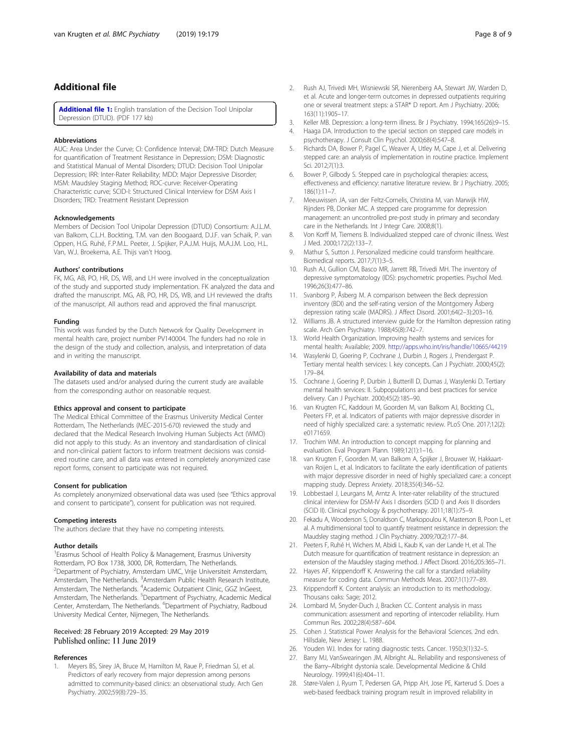#### <span id="page-7-0"></span>Additional file

[Additional file 1:](https://doi.org/10.1186/s12888-019-2165-9) English translation of the Decision Tool Unipolar Depression (DTUD). (PDF 177 kb)

#### Abbreviations

AUC: Area Under the Curve; CI: Confidence Interval; DM-TRD: Dutch Measure for quantification of Treatment Resistance in Depression; DSM: Diagnostic and Statistical Manual of Mental Disorders; DTUD: Decision Tool Unipolar Depression; IRR: Inter-Rater Reliability; MDD: Major Depressive Disorder; MSM: Maudsley Staging Method; ROC-curve: Receiver-Operating Characteristic curve; SCID-I: Structured Clinical Interview for DSM Axis I Disorders; TRD: Treatment Resistant Depression

#### Acknowledgements

Members of Decision Tool Unipolar Depression (DTUD) Consortium: A.J.L.M. van Balkom, C.L.H. Bockting, T.M. van den Boogaard, D.J.F. van Schaik, P. van Oppen, H.G. Ruhé, F.P.M.L. Peeter, J. Spijker, P.A.J.M. Huijs, M.A.J.M. Loo, H.L. Van, W.J. Broekema, A.E. Thijs van't Hoog.

#### Authors' contributions

FK, MG, AB, PO, HR, DS, WB, and LH were involved in the conceptualization of the study and supported study implementation. FK analyzed the data and drafted the manuscript. MG, AB, PO, HR, DS, WB, and LH reviewed the drafts of the manuscript. All authors read and approved the final manuscript.

#### Funding

This work was funded by the Dutch Network for Quality Development in mental health care, project number PV140004. The funders had no role in the design of the study and collection, analysis, and interpretation of data and in writing the manuscript.

#### Availability of data and materials

The datasets used and/or analysed during the current study are available from the corresponding author on reasonable request.

#### Ethics approval and consent to participate

The Medical Ethical Committee of the Erasmus University Medical Center Rotterdam, The Netherlands (MEC-2015-670) reviewed the study and declared that the Medical Research Involving Human Subjects Act (WMO) did not apply to this study. As an inventory and standardisation of clinical and non-clinical patient factors to inform treatment decisions was considered routine care, and all data was entered in completely anonymized case report forms, consent to participate was not required.

#### Consent for publication

As completely anonymized observational data was used (see "Ethics approval and consent to participate"), consent for publication was not required.

#### Competing interests

The authors declare that they have no competing interests.

#### Author details

<sup>1</sup> Erasmus School of Health Policy & Management, Erasmus University Rotterdam, PO Box 1738, 3000, DR, Rotterdam, The Netherlands. <sup>2</sup>Department of Psychiatry, Amsterdam UMC, Vrije Universiteit Amsterdam, Amsterdam, The Netherlands. <sup>3</sup> Amsterdam Public Health Research Institute, Amsterdam, The Netherlands. <sup>4</sup> Academic Outpatient Clinic, GGZ InGeest, Amsterdam, The Netherlands. <sup>5</sup>Department of Psychiatry, Academic Medical Center, Amsterdam, The Netherlands. <sup>6</sup>Department of Psychiatry, Radboud University Medical Center, Nijmegen, The Netherlands.

# Received: 28 February 2019 Accepted: 29 May 2019

#### References

1. Meyers BS, Sirey JA, Bruce M, Hamilton M, Raue P, Friedman SJ, et al. Predictors of early recovery from major depression among persons admitted to community-based clinics: an observational study. Arch Gen Psychiatry. 2002;59(8):729–35.

- 2. Rush AJ, Trivedi MH, Wisniewski SR, Nierenberg AA, Stewart JW, Warden D, et al. Acute and longer-term outcomes in depressed outpatients requiring one or several treatment steps: a STAR\* D report. Am J Psychiatry. 2006; 163(11):1905–17.
- 3. Keller MB. Depression: a long-term illness. Br J Psychiatry. 1994;165(26):9–15.
- 4. Haaga DA. Introduction to the special section on stepped care models in psychotherapy. J Consult Clin Psychol. 2000;68(4):547–8.
- 5. Richards DA, Bower P, Pagel C, Weaver A, Utley M, Cape J, et al. Delivering stepped care: an analysis of implementation in routine practice. Implement Sci. 2012;7(1):3.
- 6. Bower P, Gilbody S. Stepped care in psychological therapies: access, effectiveness and efficiency: narrative literature review. Br J Psychiatry. 2005; 186(1):11–7.
- 7. Meeuwissen JA, van der Feltz-Cornelis, Christina M, van Marwijk HW, Rijnders PB, Donker MC. A stepped care programme for depression management: an uncontrolled pre-post study in primary and secondary care in the Netherlands. Int J Integr Care. 2008;8(1).
- 8. Von Korff M, Tiemens B. Individualized stepped care of chronic illness. West J Med. 2000;172(2):133–7.
- 9. Mathur S, Sutton J. Personalized medicine could transform healthcare. Biomedical reports. 2017;7(1):3–5.
- 10. Rush AJ, Gullion CM, Basco MR, Jarrett RB, Trivedi MH. The inventory of depressive symptomatology (IDS): psychometric properties. Psychol Med. 1996;26(3):477–86.
- 11. Svanborg P, Åsberg M. A comparison between the Beck depression inventory (BDI) and the self-rating version of the Montgomery Åsberg depression rating scale (MADRS). J Affect Disord. 2001;64(2–3):203–16.
- 12. Williams JB. A structured interview guide for the Hamilton depression rating scale. Arch Gen Psychiatry. 1988;45(8):742–7.
- 13. World Health Organization. Improving health systems and services for mental health: Available; 2009. <http://apps.who.int/iris/handle/10665/44219>
- 14. Wasylenki D, Goering P, Cochrane J, Durbin J, Rogers J, Prendergast P. Tertiary mental health services: I. key concepts. Can J Psychiatr. 2000;45(2): 179–84.
- 15. Cochrane J, Goering P, Durbin J, Butterill D, Dumas J, Wasylenki D. Tertiary mental health services: II. Subpopulations and best practices for service delivery. Can J Psychiatr. 2000;45(2):185–90.
- 16. van Krugten FC, Kaddouri M, Goorden M, van Balkom AJ, Bockting CL, Peeters FP, et al. Indicators of patients with major depressive disorder in need of highly specialized care: a systematic review. PLoS One. 2017;12(2): e0171659.
- 17. Trochim WM. An introduction to concept mapping for planning and evaluation. Eval Program Plann. 1989;12(1):1–16.
- 18. van Krugten F, Goorden M, van Balkom A, Spijker J, Brouwer W, Hakkaartvan Roijen L, et al. Indicators to facilitate the early identification of patients with major depressive disorder in need of highly specialized care: a concept mapping study. Depress Anxiety. 2018;35(4):346–52.
- 19. Lobbestael J, Leurgans M, Arntz A. Inter-rater reliability of the structured clinical interview for DSM-IV Axis I disorders (SCID I) and Axis II disorders (SCID II). Clinical psychology & psychotherapy. 2011;18(1):75–9.
- 20. Fekadu A, Wooderson S, Donaldson C, Markopoulou K, Masterson B, Poon L, et al. A multidimensional tool to quantify treatment resistance in depression: the Maudsley staging method. J Clin Psychiatry. 2009;70(2):177–84.
- 21. Peeters F, Ruhé H, Wichers M, Abidi L, Kaub K, van der Lande H, et al. The Dutch measure for quantification of treatment resistance in depression: an extension of the Maudsley staging method. J Affect Disord. 2016;205:365–71.
- 22. Hayes AF, Krippendorff K. Answering the call for a standard reliability measure for coding data. Commun Methods Meas. 2007;1(1):77–89.
- 23. Krippendorff K. Content analysis: an introduction to its methodology. Thousans oaks: Sage; 2012.
- 24. Lombard M, Snyder-Duch J, Bracken CC. Content analysis in mass communication: assessment and reporting of intercoder reliability. Hum Commun Res. 2002;28(4):587–604.
- 25. Cohen J. Statistical Power Analysis for the Behavioral Sciences. 2nd edn. Hillsdale, New Jersey: L. 1988.
- 26. Youden WJ. Index for rating diagnostic tests. Cancer. 1950;3(1):32–5.
- 27. Barry MJ, VanSwearingen JM, Albright AL. Reliability and responsiveness of the Barry–Albright dystonia scale. Developmental Medicine & Child Neurology. 1999;41(6):404–11.
- 28. Støre-Valen J, Ryum T, Pedersen GA, Pripp AH, Jose PE, Karterud S. Does a web-based feedback training program result in improved reliability in